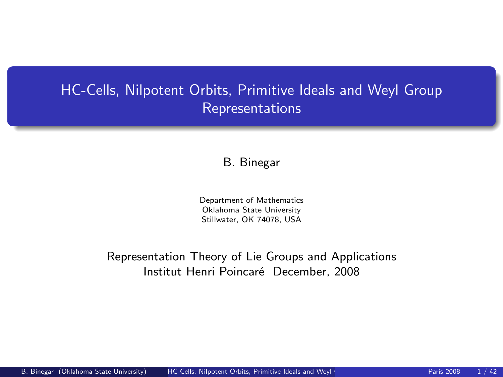# HC-Cells, Nilpotent Orbits, Primitive Ideals and Weyl Group Representations

#### B. Binegar

<span id="page-0-0"></span>Department of Mathematics Oklahoma State University Stillwater, OK 74078, USA

Representation Theory of Lie Groups and Applications Institut Henri Poincaré December, 2008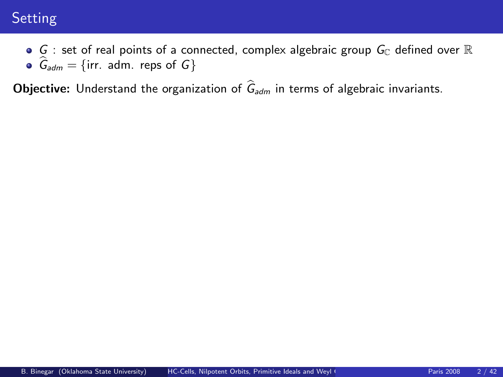# Setting

 $\bullet$  G : set of real points of a connected, complex algebraic group  $G_{\mathbb{C}}$  defined over  $\mathbb{R}$  $G_{\text{adm}} = \{ \text{irr. adm. } \text{reps of } G \}$ 

**Objective:** Understand the organization of  $\hat{G}_{adm}$  in terms of algebraic invariants.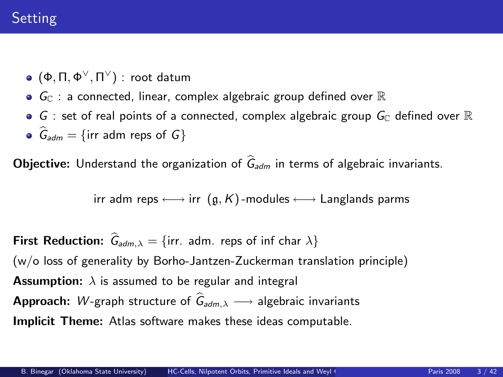# Setting

- $(Φ, Π, Φ<sup>∨</sup>, Π<sup>∨</sup>)$ : root datum
- $\bullet$   $\mathsf{G}_{\mathbb{C}}$  : a connected, linear, complex algebraic group defined over  $\mathbb{R}% _{\mathbb{C}}$
- $\bullet$  G : set of real points of a connected, complex algebraic group  $G_{\mathbb C}$  defined over  ${\mathbb R}$
- $\bullet$   $\hat{G}_{adm} = \{irr \text{ adm } res \text{ of } G\}$

**Objective:** Understand the organization of  $\hat{G}_{adm}$  in terms of algebraic invariants.

irr adm reps  $\longleftrightarrow$  irr  $(q, K)$ -modules  $\longleftrightarrow$  Langlands parms

**First Reduction:**  $\hat{G}_{adm,\lambda} = \{irr. \text{ adm. } resp \text{ of inf char } \lambda\}$ (w/o loss of generality by Borho-Jantzen-Zuckerman translation principle) **Assumption:**  $\lambda$  is assumed to be regular and integral **Approach:** W-graph structure of  $\hat{G}_{adm,\lambda} \longrightarrow$  algebraic invariants Implicit Theme: Atlas software makes these ideas computable.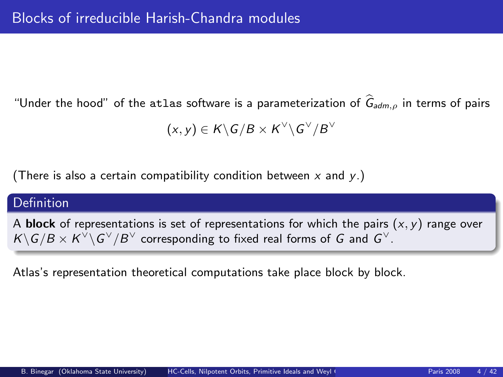"Under the hood" of the atlas software is a parameterization of  $\hat{G}_{adm.o}$  in terms of pairs

$$
(x,y)\in K\backslash G/B\times K^\vee\backslash G^\vee/B^\vee
$$

(There is also a certain compatibility condition between  $x$  and  $y$ .)

# Definition

A **block** of representations is set of representations for which the pairs  $(x, y)$  range over  $K\backslash G/B\times K^\vee\backslash G^\vee/B^\vee$  corresponding to fixed real forms of  $G$  and  $G^\vee$ .

Atlas's representation theoretical computations take place block by block.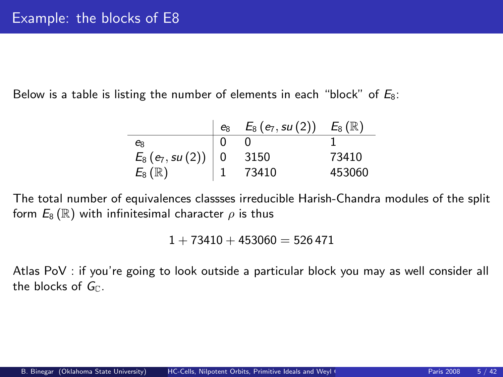Below is a table is listing the number of elements in each "block" of  $E_8$ :

|                                                                            | $e_8$ | $E_8(e_7, su(2)) E_8(\mathbb{R})$ |        |
|----------------------------------------------------------------------------|-------|-----------------------------------|--------|
| $e_8$                                                                      |       |                                   |        |
| $\begin{array}{l l} E_8(e_7, su(2)) & 0 \ E_8(\mathbb{R}) & 1 \end{array}$ |       | 3150                              | 73410  |
|                                                                            |       | 73410                             | 453060 |

The total number of equivalences classses irreducible Harish-Chandra modules of the split form  $E_8(\mathbb{R})$  with infinitesimal character  $\rho$  is thus

 $1 + 73410 + 453060 = 526471$ 

Atlas PoV : if you're going to look outside a particular block you may as well consider all the blocks of  $G_{\mathbb{C}}$ .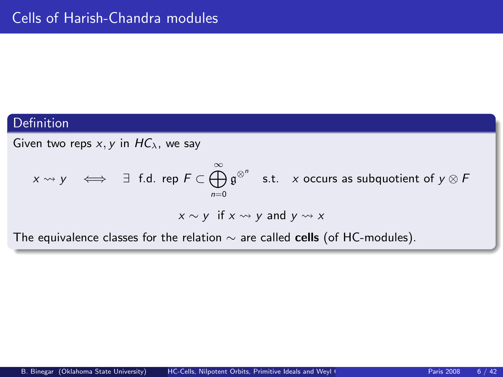# Definition

Given two reps  $x, y$  in  $HC_\lambda$ , we say

$$
x \rightsquigarrow y \iff \exists \text{ f.d. rep } F \subset \bigoplus_{n=0}^{\infty} \mathfrak{g}^{\otimes^n} \text{ s.t. } x \text{ occurs as subquotient of } y \otimes F
$$
  

$$
x \sim y \text{ if } x \rightsquigarrow y \text{ and } y \rightsquigarrow x
$$

The equivalence classes for the relation  $\sim$  are called cells (of HC-modules).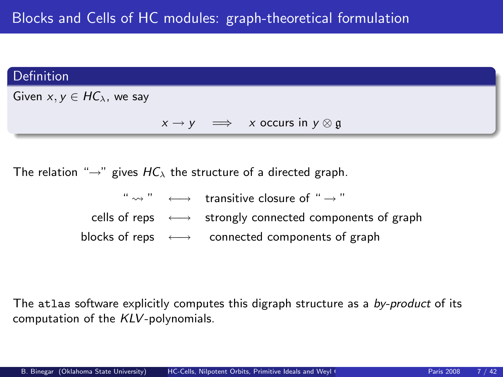#### Definition

Given  $x, y \in HC_\lambda$ , we say

 $x \rightarrow y \implies x$  occurs in  $y \otimes \mathfrak{g}$ 

The relation " $\rightarrow$ " gives  $HC_{\lambda}$  the structure of a directed graph.

"  $\leftrightarrow$  "  $\longleftrightarrow$  transitive closure of "  $\rightarrow$  " cells of reps 
<del>
←→</del> strongly connected components of graph blocks of reps ←→ connected components of graph

The atlas software explicitly computes this digraph structure as a by-product of its computation of the KLV-polynomials.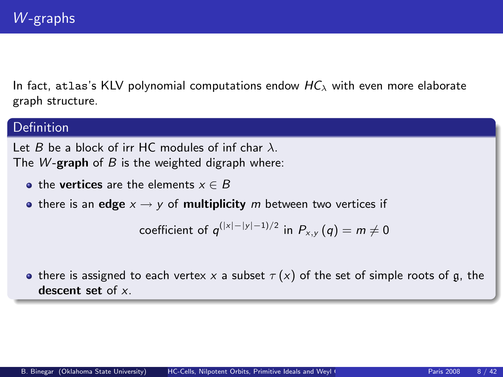In fact, atlas's KLV polynomial computations endow  $HC_{\lambda}$  with even more elaborate graph structure.

# Definition

Let B be a block of irr HC modules of inf char  $\lambda$ . The W-graph of  $B$  is the weighted digraph where:

- the vertices are the elements  $x \in B$
- there is an edge  $x \rightarrow y$  of multiplicity m between two vertices if

coefficient of 
$$
q^{(|x|-|y|-1)/2}
$$
 in  $P_{x,y}(q) = m \neq 0$ 

**•** there is assigned to each vertex x a subset  $\tau(x)$  of the set of simple roots of g, the descent set of x.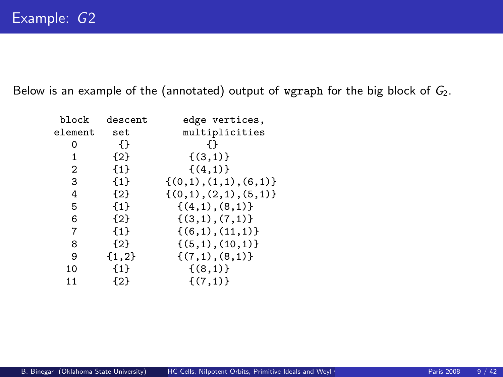Below is an example of the (annotated) output of wgraph for the big block of  $G_2$ .

| block        | descent | edge vertices,             |
|--------------|---------|----------------------------|
| element      | set     | multiplicities             |
| 0            | {}      | ብ የ                        |
| $\mathbf{1}$ | ${2}$   | $\{(3,1)\}$                |
| 2            | ${1}$   | $\{(4,1)\}$                |
| 3            | ${1}$   | $\{(0,1), (1,1), (6,1)\}\$ |
| 4            | ${2}$   | $\{(0,1), (2,1), (5,1)\}\$ |
| 5            | ${1}$   | $\{(4,1), (8,1)\}\$        |
| 6            | ${2}$   | $\{(3,1), (7,1)\}$         |
| 7            | ${1}$   | $\{(6,1), (11,1)\}\$       |
| 8            | ${2}$   | $\{(5,1), (10,1)\}\$       |
| 9            | ${1,2}$ | $\{(7,1),(8,1)\}$          |
| 10           | ${1}$   | $\{(8,1)\}\$               |
| 11           | ${2}$   | $\{(7,1)\}$                |
|              |         |                            |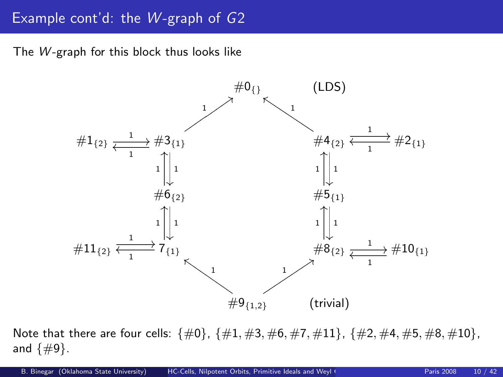# Example cont'd: the  $W$ -graph of  $G2$

The  $W$ -graph for this block thus looks like



Note that there are four cells:  $\{\#0\}$ ,  $\{\#1, \#3, \#6, \#7, \#11\}$ ,  $\{\#2, \#4, \#5, \#8, \#10\}$ , and  $\{\#9\}$ .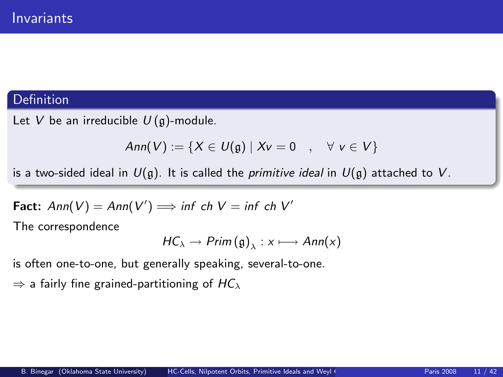# **Definition**

Let V be an irreducible  $U(\mathfrak{g})$ -module.

$$
Ann(V) := \{ X \in U(\mathfrak{g}) \mid Xv = 0 \quad , \quad \forall \ v \in V \}
$$

is a two-sided ideal in  $U(g)$ . It is called the *primitive ideal* in  $U(g)$  attached to V.

**Fact:** Ann(V) = Ann(V') 
$$
\implies
$$
 inf ch V = inf ch V'

The correspondence

$$
HC_{\lambda} \to Prim(g)_{\lambda} : x \longmapsto Ann(x)
$$

is often one-to-one, but generally speaking, several-to-one.

 $\Rightarrow$  a fairly fine grained-partitioning of  $HC_{\lambda}$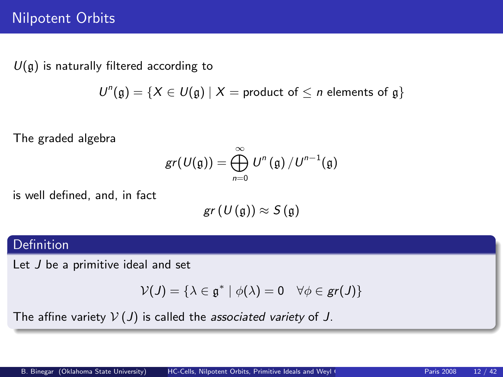# Nilpotent Orbits

 $U(\mathfrak{g})$  is naturally filtered according to

 $U^{n}(\mathfrak{g}) = \{X \in U(\mathfrak{g}) \mid X = \text{product of } \leq n \text{ elements of } \mathfrak{g}\}\$ 

The graded algebra

$$
gr(U(\mathfrak{g})) = \bigoplus_{n=0}^{\infty} U^n(\mathfrak{g}) / U^{n-1}(\mathfrak{g})
$$

is well defined, and, in fact

$$
gr(U(\mathfrak{g}))\approx S(\mathfrak{g})
$$

### Definition

Let J be a primitive ideal and set

$$
\mathcal{V}(J) = \{ \lambda \in \mathfrak{g}^* \mid \phi(\lambda) = 0 \quad \forall \phi \in \mathsf{gr}(J) \}
$$

The affine variety  $V(J)$  is called the associated variety of J.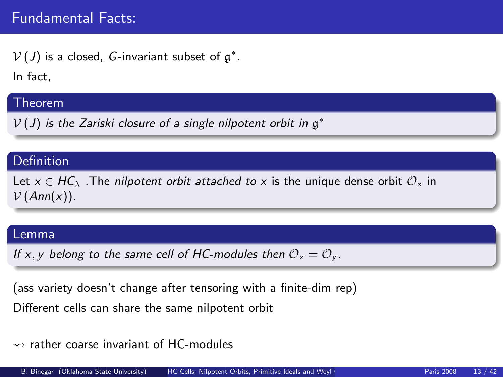$\mathcal{V}\left( J\right)$  is a closed, G-invariant subset of  $\mathfrak{g}^*.$ 

In fact,

# Theorem

 $V(J)$  is the Zariski closure of a single nilpotent orbit in  $\mathfrak{g}^*$ 

# Definition

Let  $x \in HC_\lambda$ . The *nilpotent orbit attached to x* is the unique dense orbit  $\mathcal{O}_x$  in  $V(Ann(x)).$ 

#### Lemma

If x, y belong to the same cell of HC-modules then  $\mathcal{O}_x = \mathcal{O}_y$ .

(ass variety doesn't change after tensoring with a finite-dim rep)

Different cells can share the same nilpotent orbit

# $\rightarrow$  rather coarse invariant of HC-modules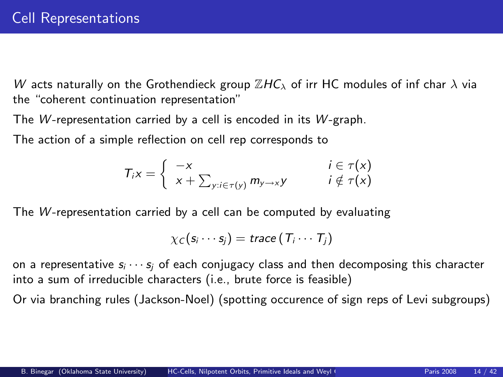W acts naturally on the Grothendieck group  $\mathbb{Z}$ HC<sub> $\lambda$ </sub> of irr HC modules of inf char  $\lambda$  via the "coherent continuation representation"

The W-representation carried by a cell is encoded in its  $W$ -graph.

The action of a simple reflection on cell rep corresponds to

$$
T_i x = \begin{cases} -x & i \in \tau(x) \\ x + \sum_{y : i \in \tau(y)} m_{y \to x} y & i \notin \tau(x) \end{cases}
$$

The  $W$ -representation carried by a cell can be computed by evaluating

$$
\chi_C(s_i\cdots s_j)=\text{trace}\left(T_i\cdots T_j\right)
$$

on a representative  $s_i \cdots s_i$  of each conjugacy class and then decomposing this character into a sum of irreducible characters (i.e., brute force is feasible)

Or via branching rules (Jackson-Noel) (spotting occurence of sign reps of Levi subgroups)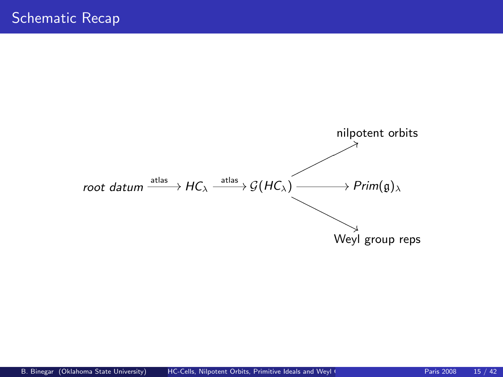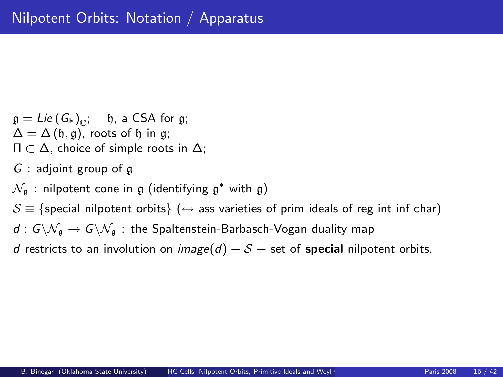$\mathfrak{g} = \mathfrak{Lie}\left(\left. G_\mathbb{R} \right)_{\mathbb{C}}; \quad \mathfrak{h}, \text{ a CSA for } \mathfrak{g}; \right.$  $\Delta = \Delta(\mathfrak{h}, \mathfrak{g})$ , roots of  $\mathfrak{h}$  in g;  $\Pi \subset \Delta$ , choice of simple roots in  $\Delta$ ;

- $G$  : adjoint group of g
- $\mathcal{N}_\mathfrak{g}$  : nilpotent cone in  $\mathfrak g$  (identifying  $\mathfrak g^*$  with  $\mathfrak g)$

 $S \equiv \{$  special nilpotent orbits  $\} (\leftrightarrow \{$  ass varieties of prim ideals of reg int inf char)

 $d: G\backslash \mathcal{N}_\mathfrak{a}\to G\backslash \mathcal{N}_\mathfrak{a}$ : the Spaltenstein-Barbasch-Vogan duality map

d restricts to an involution on image(d)  $\equiv S \equiv$  set of special nilpotent orbits.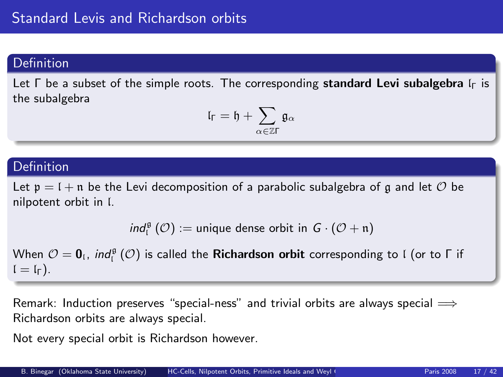# Definition

Let  $\Gamma$  be a subset of the simple roots. The corresponding standard Levi subalgebra  $\Gamma_{\Gamma}$  is the subalgebra

$$
\mathfrak{l}_\Gamma=\mathfrak{h}+\sum_{\alpha\in\mathbb{Z}\Gamma}\mathfrak{g}_\alpha
$$

### Definition

Let  $p = 1 + n$  be the Levi decomposition of a parabolic subalgebra of g and let  $\mathcal O$  be nilpotent orbit in l.

$$
\textit{ind}_{\mathfrak l}^{\mathfrak g}\left(\mathcal O\right):=\text{unique dense orbit in } G\cdot\left(\mathcal O+\mathfrak n\right)
$$

When  $\mathcal{O} = \bm{0}_\mathfrak{l}$ ,  $\mathit{ind}^{\mathfrak{g}}_\mathfrak{l}(\mathcal{O})$  is called the **Richardson orbit** corresponding to l (or to  $\mathsf{\Gamma}$  if  $l = l_{\Gamma}$ ).

Remark: Induction preserves "special-ness" and trivial orbits are always special  $\Longrightarrow$ Richardson orbits are always special.

Not every special orbit is Richardson however.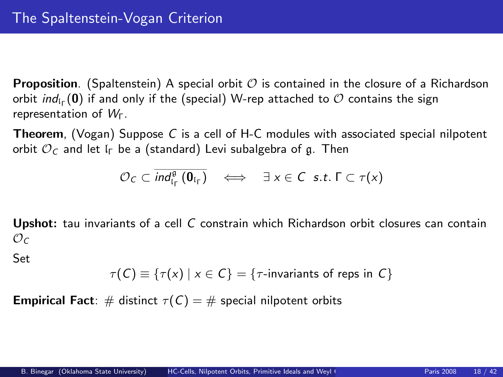**Proposition.** (Spaltenstein) A special orbit  $\mathcal{O}$  is contained in the closure of a Richardson orbit  $\mathit{ind}_{\mathfrak{l}_\Gamma}(\boldsymbol{0})$  if and only if the (special) W-rep attached to  ${\mathcal{O}}$  contains the sign representation of WΓ.

**Theorem,** (Vogan) Suppose C is a cell of H-C modules with associated special nilpotent orbit  $\mathcal{O}_C$  and let  $\mathfrak{l}_\Gamma$  be a (standard) Levi subalgebra of g. Then

$$
\mathcal{O}_C \subset \overline{\text{ind}_{\mathfrak{l}_\Gamma}^{\mathfrak{g}}(\mathbf{0}_{\mathfrak{l}_\Gamma})} \quad \Longleftrightarrow \quad \exists \ x \in C \ \text{ s.t. } \Gamma \subset \tau(x)
$$

Upshot: tau invariants of a cell C constrain which Richardson orbit closures can contain  $\mathcal{O}_C$ 

Set

$$
\tau(C) \equiv \{ \tau(x) \mid x \in C \} = \{ \tau\text{-invariants of resp } C \}
$$

**Empirical Fact:** # distinct  $\tau(C) = \#$  special nilpotent orbits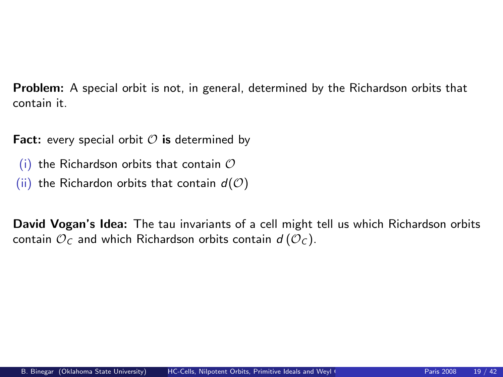Problem: A special orbit is not, in general, determined by the Richardson orbits that contain it.

**Fact:** every special orbit  $\mathcal O$  is determined by

- (i) the Richardson orbits that contain  $\mathcal O$
- (ii) the Richardon orbits that contain  $d(\mathcal{O})$

David Vogan's Idea: The tau invariants of a cell might tell us which Richardson orbits contain  $\mathcal{O}_C$  and which Richardson orbits contain  $d(\mathcal{O}_C)$ .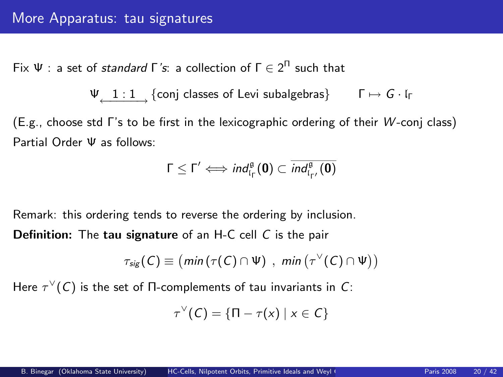Fix  $\Psi$  : a set of *standard* Γ΄s: a collection of  $\Gamma \in 2^{\Pi}$  such that

$$
\Psi_{\underbrace{\qquad 1:1\qquad \qquad }} \{ \text{conj classes of Levi subalgebras} \} \qquad \Gamma \mapsto G \cdot \mathfrak{l}_{\Gamma}
$$

(E.g., choose std Γ's to be first in the lexicographic ordering of their W -conj class) Partial Order Ψ as follows:

$$
\Gamma \leq \Gamma' \Longleftrightarrow \textit{ind}_{\mathfrak{l}_{\Gamma}}^{\mathfrak{g}}(\boldsymbol{0}) \subset \overline{\textit{ind}_{\mathfrak{l}_{\Gamma'}}^{\mathfrak{g}}(\boldsymbol{0})}
$$

Remark: this ordering tends to reverse the ordering by inclusion.

Definition: The tau signature of an H-C cell C is the pair

$$
\tau_{sig}(C) \equiv (min(\tau(C) \cap \Psi), min(\tau^{\vee}(C) \cap \Psi))
$$

Here  $\tau^\vee(\mathcal{C})$  is the set of  $\Pi$ -complements of tau invariants in  $\mathcal{C}$ :

$$
\tau^{\vee}(C) = \{ \Pi - \tau(x) \mid x \in C \}
$$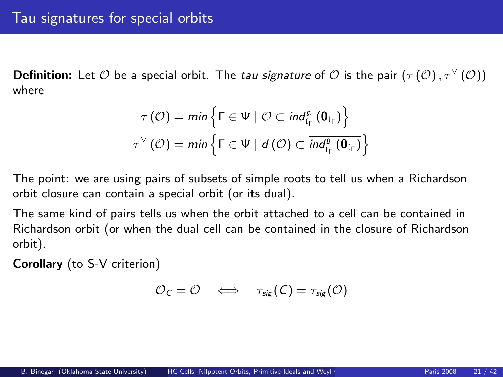**Definition:** Let  $O$  be a special orbit. The *tau signature* of  $O$  is the pair  $(\tau(O), \tau^{\vee} (O))$ where

$$
\tau(\mathcal{O}) = \min \left\{ \Gamma \in \Psi \mid \mathcal{O} \subset \overline{ind_{\mathfrak{l}_\Gamma}^{\mathfrak{g}}(\mathbf{0}_{\mathfrak{l}_\Gamma})} \right\}
$$
  

$$
\tau^{\vee}(\mathcal{O}) = \min \left\{ \Gamma \in \Psi \mid d(\mathcal{O}) \subset \overline{ind_{\mathfrak{l}_\Gamma}^{\mathfrak{g}}(\mathbf{0}_{\mathfrak{l}_\Gamma})} \right\}
$$

The point: we are using pairs of subsets of simple roots to tell us when a Richardson orbit closure can contain a special orbit (or its dual).

The same kind of pairs tells us when the orbit attached to a cell can be contained in Richardson orbit (or when the dual cell can be contained in the closure of Richardson orbit).

Corollary (to S-V criterion)

$$
\mathcal{O}_C = \mathcal{O} \quad \Longleftrightarrow \quad \tau_{sig}(C) = \tau_{sig}(\mathcal{O})
$$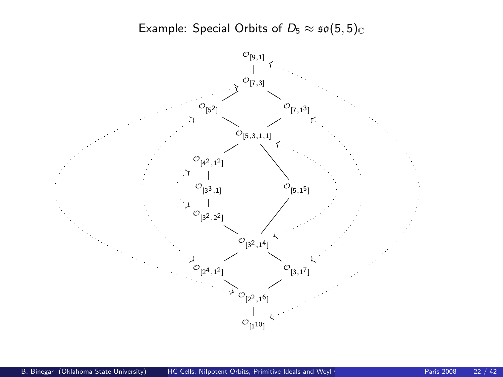Example: Special Orbits of  $D_5 \approx \mathfrak{so}(5, 5)_{\mathbb{C}}$ 

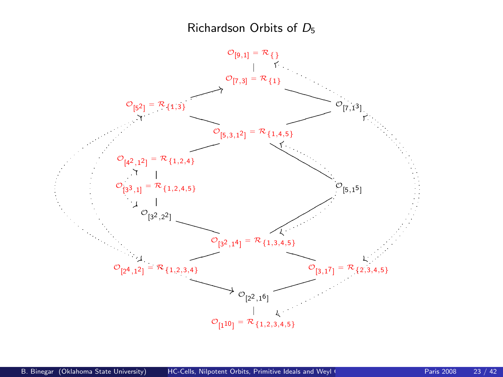### Richardson Orbits of D<sup>5</sup>

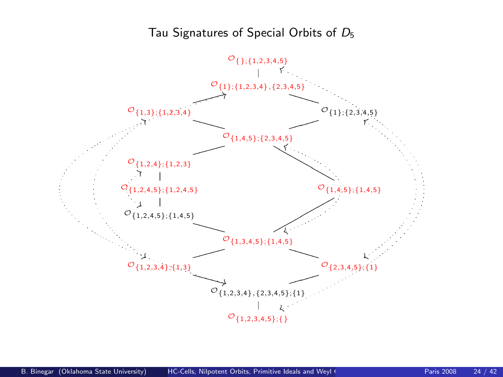## Tau Signatures of Special Orbits of D<sup>5</sup>

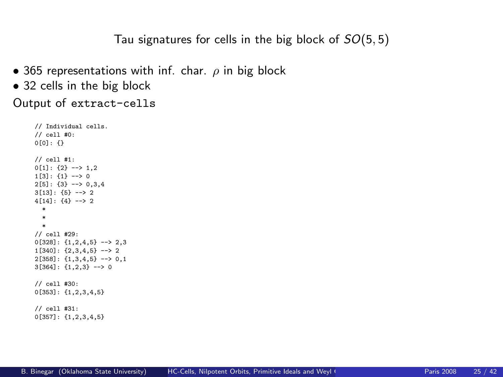Tau signatures for cells in the big block of  $SO(5,5)$ 

- 365 representations with inf. char.  $\rho$  in big block
- 32 cells in the big block

Output of extract-cells

```
// Individual cells.
// cell #0:
0[0]: \{\}// cell #1:
0[1]: \{2\} \longrightarrow 1,21[3]: {1} - \rightarrow 02[5]: \{3\} \longrightarrow 0,3,43[13]: {5} --> 2
4[14]: {4} --> 2
  *
  *
  *
// cell #29:
0[328]: {1,2,4,5} --> 2,3
1[340]: \{2,3,4,5\} --> 2
2[358]: {1,3,4,5} --> 0,1
3[364]: {1,2,3} --> 0
// cell #30:
0[353]: {1,2,3,4,5}
// cell #31:
0[357]: {1,2,3,4,5}
```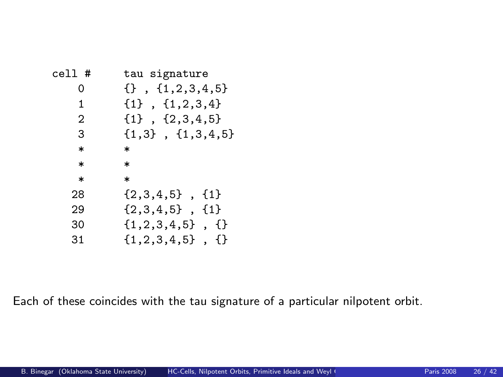| tau signature                 |
|-------------------------------|
| $\{\}$ , $\{1, 2, 3, 4, 5\}$  |
| ${1}$ , ${1,2,3,4}$           |
| ${1}$ , ${2,3,4,5}$           |
| $\{1,3\}$ , $\{1,3,4,5\}$     |
| $\ast$                        |
| $\ast$                        |
| $\ast$                        |
| $\{2,3,4,5\}$ , $\{1\}$       |
| $\{2,3,4,5\}$ , $\{1\}$       |
| $\{1, 2, 3, 4, 5\}$ , $\{\}\$ |
| $\{1, 2, 3, 4, 5\}$ , $\{\}$  |
|                               |

Each of these coincides with the tau signature of a particular nilpotent orbit.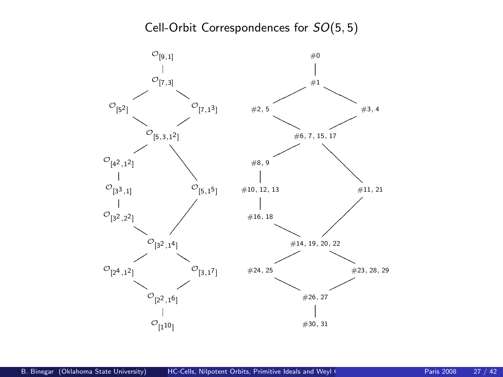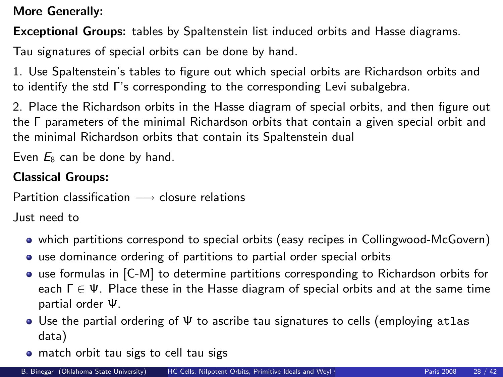More Generally:

Exceptional Groups: tables by Spaltenstein list induced orbits and Hasse diagrams.

Tau signatures of special orbits can be done by hand.

1. Use Spaltenstein's tables to figure out which special orbits are Richardson orbits and to identify the std Γ's corresponding to the corresponding Levi subalgebra.

2. Place the Richardson orbits in the Hasse diagram of special orbits, and then figure out the Γ parameters of the minimal Richardson orbits that contain a given special orbit and the minimal Richardson orbits that contain its Spaltenstein dual

Even  $E_8$  can be done by hand.

# Classical Groups:

Partition classification  $\longrightarrow$  closure relations

Just need to

- which partitions correspond to special orbits (easy recipes in Collingwood-McGovern)
- use dominance ordering of partitions to partial order special orbits
- use formulas in [C-M] to determine partitions corresponding to Richardson orbits for each  $\Gamma \in \Psi$ . Place these in the Hasse diagram of special orbits and at the same time partial order Ψ.
- Use the partial ordering of Ψ to ascribe tau signatures to cells (employing atlas data)
- match orbit tau sigs to cell tau sigs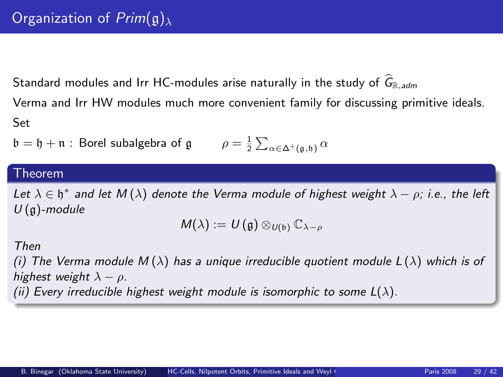Standard modules and Irr HC-modules arise naturally in the study of  $\widehat{G}_{\mathbb{R}$ , adm

Verma and Irr HW modules much more convenient family for discussing primitive ideals. Set

$$
\mathfrak{b} = \mathfrak{h} + \mathfrak{n} : \text{Borel subalgebra of } \mathfrak{g} \qquad \rho = \frac{1}{2} \sum_{\alpha \in \Delta^+(\mathfrak{g}, \mathfrak{h})} \alpha
$$

#### Theorem

Let  $\lambda \in \mathfrak{h}^*$  and let  $M(\lambda)$  denote the Verma module of highest weight  $\lambda - \rho$ ; i.e., the left  $U(\mathfrak{g})$ -module

$$
M(\lambda):=U(\mathfrak{g})\otimes_{U(\mathfrak{b})}\mathbb{C}_{\lambda-\rho}
$$

#### Then

(i) The Verma module  $M(\lambda)$  has a unique irreducible quotient module  $L(\lambda)$  which is of highest weight  $\lambda - \rho$ .

(ii) Every irreducible highest weight module is isomorphic to some  $L(\lambda)$ .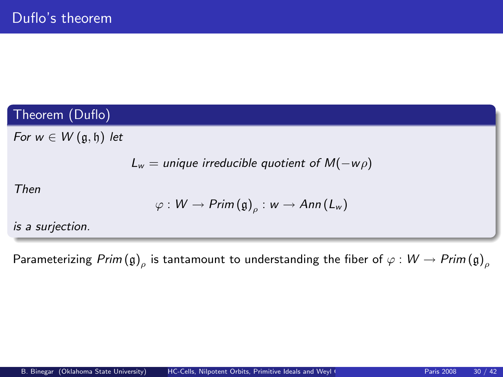# Theorem (Duflo)

For  $w \in W(\mathfrak{g},\mathfrak{h})$  let

$$
L_w = \text{unique irreducible quotient of } M(-w\rho)
$$

Then

$$
\varphi: W \to \mathsf{Prim}\left(\mathfrak{g}\right)_{\rho}: w \to \mathsf{Ann}\left(L_w\right)
$$

is a surjection.

Parameterizing  $\mathit{Prim}\left(\mathfrak{g}\right)_\rho$  is tantamount to understanding the fiber of  $\varphi:\mathsf{W}\to\mathit{Prim}\left(\mathfrak{g}\right)_\rho$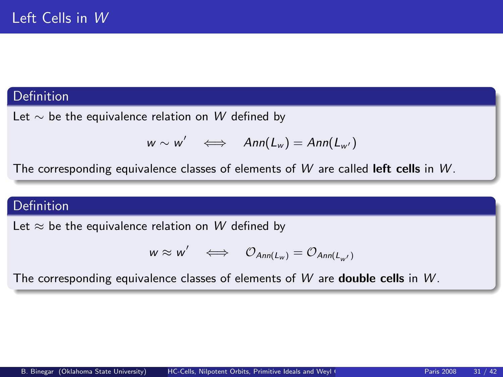### Definition

Let  $\sim$  be the equivalence relation on W defined by

$$
w \sim w' \iff Ann(L_w) = Ann(L_{w'})
$$

The corresponding equivalence classes of elements of  $W$  are called left cells in  $W$ .

### Definition

Let  $\approx$  be the equivalence relation on W defined by

$$
w \approx w' \iff \mathcal{O}_{Ann(L_w)} = \mathcal{O}_{Ann(L_{w'})}
$$

The corresponding equivalence classes of elements of  $W$  are **double cells** in  $W$ .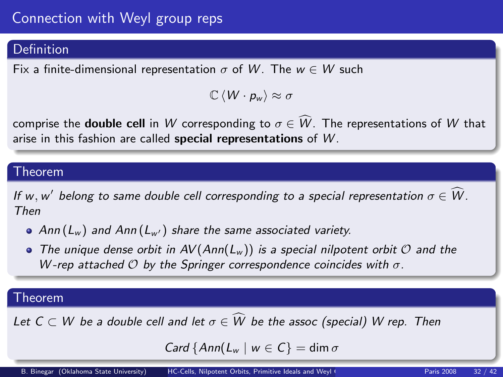# Connection with Weyl group reps

# Definition

Fix a finite-dimensional representation  $\sigma$  of W. The  $w \in W$  such

 $\mathbb{C} \langle W \cdot p_w \rangle \approx \sigma$ 

comprise the **double cell** in W corresponding to  $\sigma \in W$ . The representations of W that arise in this fashion are called special representations of W.

### Theorem

If w, w' belong to same double cell corresponding to a special representation  $\sigma \in \overset{\sim}{W}$ . Then

- $\bullet$  Ann (L<sub>w</sub>) and Ann (L<sub>w'</sub>) share the same associated variety.
- $\bullet$  The unique dense orbit in AV (Ann(L<sub>w</sub>)) is a special nilpotent orbit  $\mathcal O$  and the W-rep attached  $O$  by the Springer correspondence coincides with  $\sigma$ .

# **Theorem**

Let  $C \subset W$  be a double cell and let  $\sigma \in W$  be the assoc (special) W rep. Then

Card  $\{Ann(L_w \mid w \in C\} = \dim \sigma$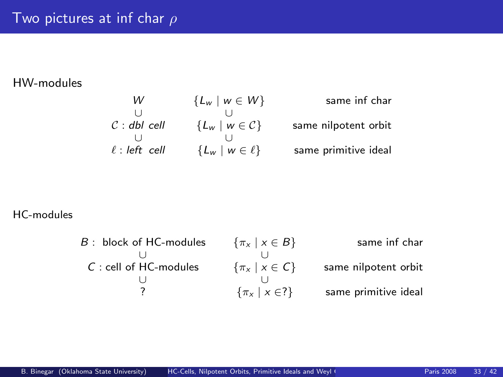### HW-modules

| same inf char        | ${L_w \mid w \in W}$    | W                  |
|----------------------|-------------------------|--------------------|
|                      |                         |                    |
| same nilpotent orbit | ${L_w \mid w \in C}$    | $C:$ dbl cell      |
|                      |                         |                    |
| same primitive ideal | ${L_w \mid w \in \ell}$ | $\ell$ : left cell |

#### HC-modules

| $\{\pi_x \mid x \in B\}$ | same inf char        |
|--------------------------|----------------------|
|                          |                      |
| $\{\pi_x \mid x \in C\}$ | same nilpotent orbit |
|                          |                      |
| $\{\pi_x \mid x \in ?\}$ | same primitive ideal |
|                          |                      |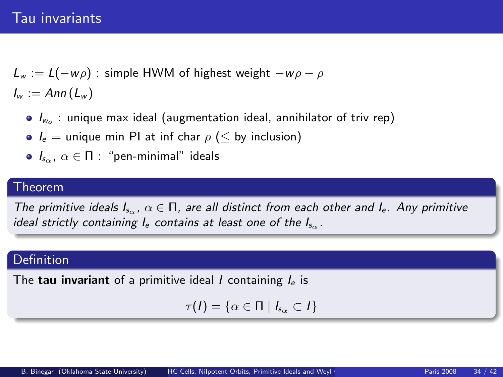# Tau invariants

 $L_w := L(-w\rho)$ : simple HWM of highest weight  $-w\rho - \rho$  $I_w := Ann(L_w)$ 

- $I_{w_o}$  : unique max ideal (augmentation ideal, annihilator of triv rep)
- $I_e$  = unique min PI at inf char  $\rho$  (  $\leq$  by inclusion)
- $\bullet$   $I_{s_{\alpha}}$ ,  $\alpha \in \Pi$  : "pen-minimal" ideals

#### Theorem

The primitive ideals  $I_{s_{\alpha}}$ ,  $\alpha \in \Pi$ , are all distinct from each other and  $I_{e}$ . Any primitive ideal strictly containing  $I_e$  contains at least one of the  $I_{so}$ .

### Definition

The tau invariant of a primitive ideal  $I$  containing  $I<sub>e</sub>$  is

$$
\tau(I)=\{\alpha\in\Pi\mid I_{s_\alpha}\subset I\}
$$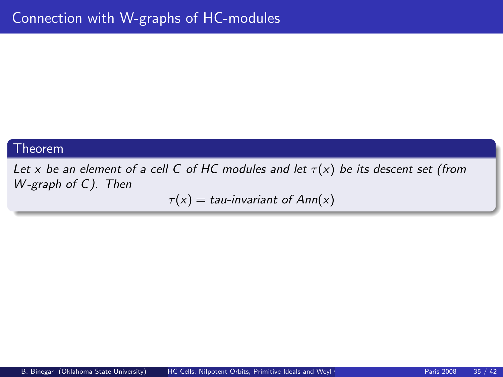### Theorem

Let x be an element of a cell C of HC modules and let  $\tau(x)$  be its descent set (from W-graph of C). Then

 $\tau(x) = \tau(x)$  tau-invariant of Ann(x)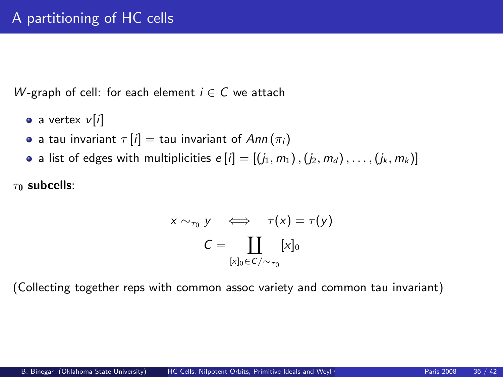W-graph of cell: for each element  $i \in C$  we attach

- $\bullet$  a vertex  $v[i]$
- **•** a tau invariant  $\tau[i] =$  tau invariant of  $Ann(\pi_i)$
- a list of edges with multiplicities  $e[i] = [(j_1, m_1), (j_2, m_d), \ldots, (j_k, m_k)]$

 $\tau_0$  subcells:

$$
x \sim_{\tau_0} y \iff \tau(x) = \tau(y)
$$

$$
C = \coprod_{[x]_0 \in C/\sim_{\tau_0}} [x]_0
$$

(Collecting together reps with common assoc variety and common tau invariant)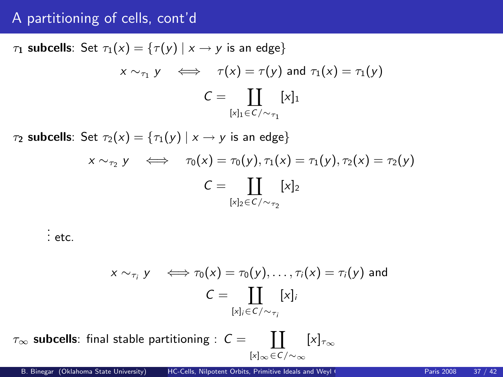# A partitioning of cells, cont'd

 $\tau_1$  subcells: Set  $\tau_1(x) = {\tau(y) | x \rightarrow y}$  is an edge}  $x \sim_{\tau_1} y \iff \tau(x) = \tau(y)$  and  $\tau_1(x) = \tau_1(y)$  $C = \prod [x]_1$  $[x]_1 \in \mathcal{C}/\sim_{\tau_1}$  $\tau_2$  subcells: Set  $\tau_2(x) = {\tau_1(y) | x \rightarrow y}$  is an edge}  $x \sim_{\tau_2} y \iff \tau_0(x) = \tau_0(y), \tau_1(x) = \tau_1(y), \tau_2(x) = \tau_2(y)$  $C = \prod [x]_2$  $[x]_2 \in C / \sim_{\tau_2}$ 

. . . etc.

$$
x \sim_{\tau_i} y \iff \tau_0(x) = \tau_0(y), \dots, \tau_i(x) = \tau_i(y) \text{ and}
$$

$$
C = \coprod_{[x]_i \in C/\sim_{\tau_i}} [x]_i
$$

 $\tau_{\infty}$  subcells: final stable partitioning :  $C = \quad \prod$ [x]∞∈C/∼∞  $[x]_{\tau_{\infty}}$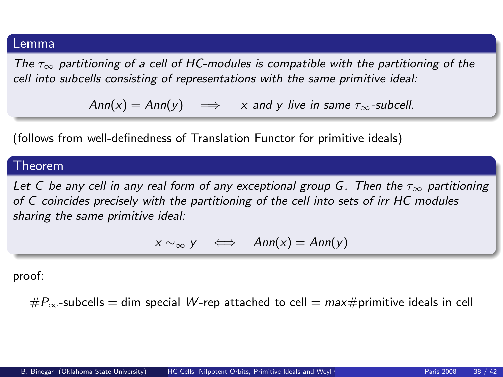#### Lemma

The  $\tau_{\infty}$  partitioning of a cell of HC-modules is compatible with the partitioning of the cell into subcells consisting of representations with the same primitive ideal:

 $Ann(x) = Ann(y) \implies x$  and y live in same  $\tau_{\infty}$ -subcell.

(follows from well-definedness of Translation Functor for primitive ideals)

#### Theorem

Let C be any cell in any real form of any exceptional group G. Then the  $\tau_{\infty}$  partitioning of C coincides precisely with the partitioning of the cell into sets of irr HC modules sharing the same primitive ideal:

$$
x \sim_{\infty} y \iff Ann(x) = Ann(y)
$$

proof:

 $\#P_{\infty}$ -subcells = dim special W-rep attached to cell = max#primitive ideals in cell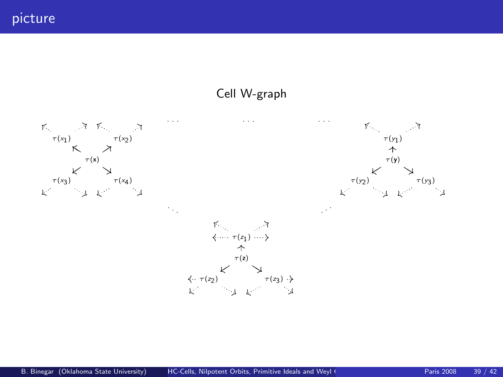picture

#### Cell W-graph

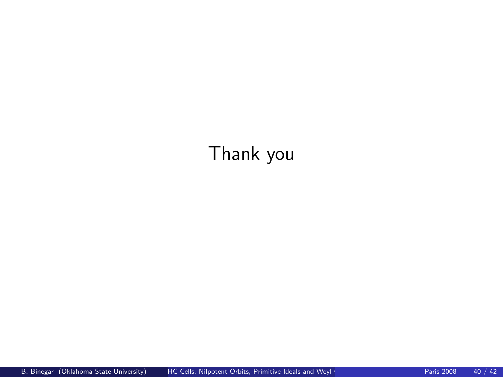# Thank you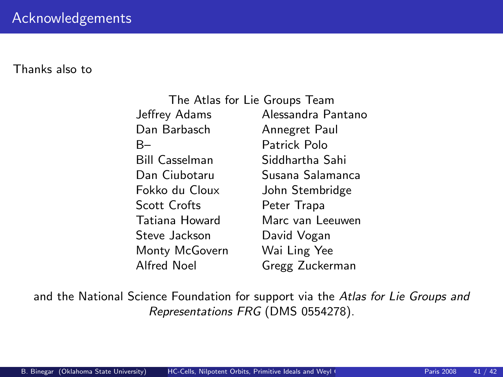Thanks also to

| The Atlas for Lie Groups Team |                    |
|-------------------------------|--------------------|
| Jeffrey Adams                 | Alessandra Pantano |
| Dan Barbasch                  | Annegret Paul      |
| B-                            | Patrick Polo       |
| Bill Casselman                | Siddhartha Sahi    |
| Dan Ciubotaru                 | Susana Salamanca   |
| Fokko du Cloux                | John Stembridge    |
| <b>Scott Crofts</b>           | Peter Trapa        |
| Tatiana Howard                | Marc van Leeuwen   |
| Steve Jackson                 | David Vogan        |
| Monty McGovern                | Wai Ling Yee       |
| Alfred Noel                   | Gregg Zuckerman    |

and the National Science Foundation for support via the Atlas for Lie Groups and Representations FRG (DMS 0554278).